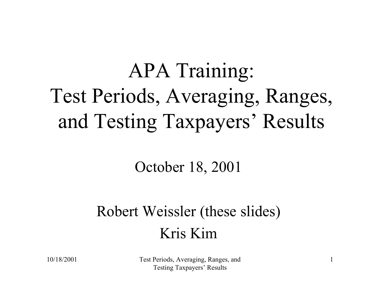# APA Training: Test Periods, Averaging, Ranges, and Testing Taxpayers' Results

#### October 18, 2001

#### Robert Weissler (these slides) Kris Kim

10/18/2001 Test Periods, Averaging, Ranges, and Testing Taxpayers' Results

1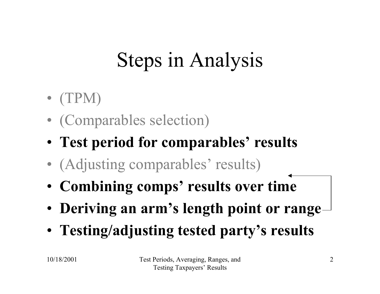# Steps in Analysis

- $\bullet$  (TPM)
- $\bullet$ (Comparables selection)
- **Test period for comparables' results**
- $\bullet$ (Adjusting comparables' results)
- **Combining comps' results over time**
- **Deriving an arm's length point or range**
- **Testing/adjusting tested party's results**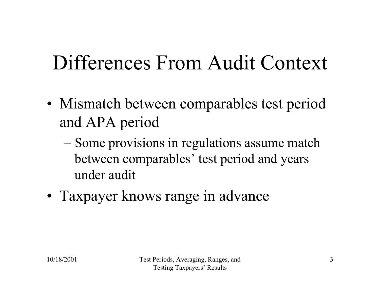#### Differences From Audit Context

- •• Mismatch between comparables test period and APA period
	- Some provisions in regulations assume match between comparables' test period and years under audit
- Taxpayer knows range in advance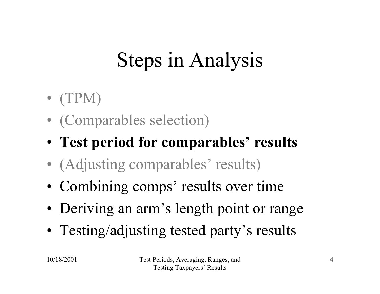# Steps in Analysis

- $\bullet$  (TPM)
- $\bullet$ (Comparables selection)
- **Test period for comparables' results**
- $\bullet$ (Adjusting comparables' results)
- Combining comps' results over time
- •Deriving an arm's length point or range
- Testing/adjusting tested party's results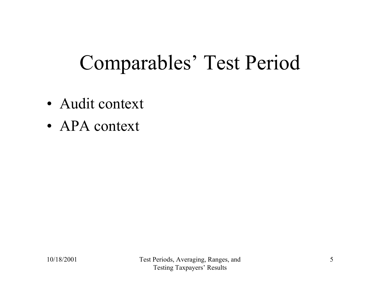#### Comparables' Test Period

- •Audit context
- •• APA context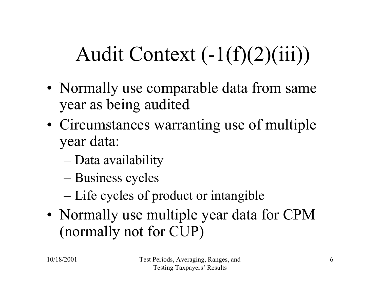# Audit Context  $(-1(f)(2)(iii))$

- •• Normally use comparable data from same year as being audited
- •• Circumstances warranting use of multiple year data:
	- Data availability
	- Business cycles
	- Life cycles of product or intangible
- •• Normally use multiple year data for CPM (normally not for CUP)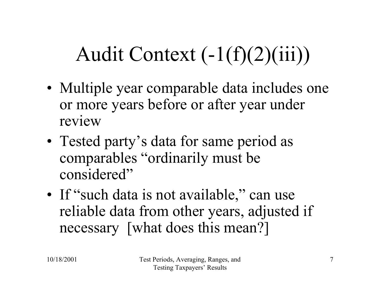# Audit Context (-1(f)(2)(iii))

- •• Multiple year comparable data includes one or more years before or after year under review
- Tested party's data for same period as comparables "ordinarily must be considered"
- If "such data is not available," can use reliable data from other years, adjusted if necessary [what does this mean?]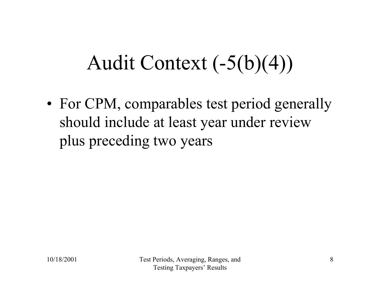#### Audit Context (-5(b)(4))

•• For CPM, comparables test period generally should include at least year under review plus preceding two years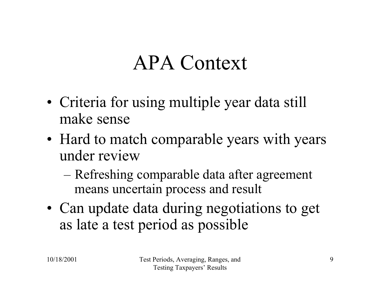#### APA Context

- •• Criteria for using multiple year data still make sense
- •• Hard to match comparable years with years under review
	- Refreshing comparable data after agreement means uncertain process and result
- • Can update data during negotiations to get as late a test period as possible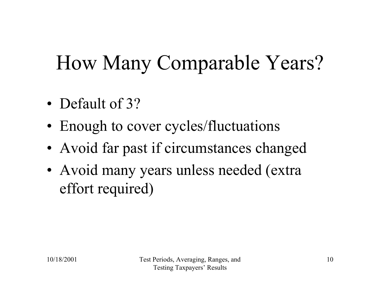### How Many Comparable Years?

- Default of 3?
- •• Enough to cover cycles/fluctuations
- •Avoid far past if circumstances changed
- •• Avoid many years unless needed (extra effort required)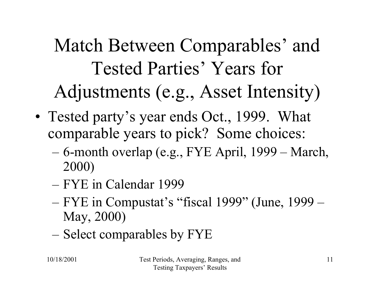Match Between Comparables' and Tested Parties' Years for Adjustments (e.g., Asset Intensity)

- Tested party's year ends Oct., 1999. What comparable years to pick? Some choices:
	- 6-month overlap (e.g., FYE April, 1999 March, 2000)
	- –FYE in Calendar 1999
	- FYE in Compustat's "fiscal 1999" (June, 1999 May, 2000)
	- Select comparables by FYE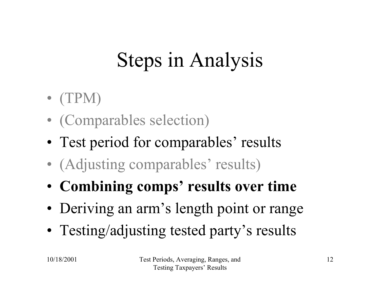# Steps in Analysis

- $\bullet$  (TPM)
- $\bullet$ (Comparables selection)
- Test period for comparables' results
- $\bullet$ (Adjusting comparables' results)
- **Combining comps' results over time**
- •Deriving an arm's length point or range
- Testing/adjusting tested party's results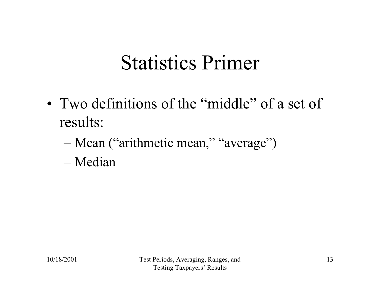#### Statistics Primer

- Two definitions of the "middle" of a set of results:
	- Mean ("arithmetic mean," "average")
	- Median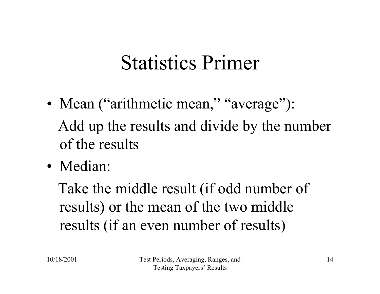#### Statistics Primer

- •• Mean ("arithmetic mean," "average"): Add up the results and divide by the number of the results
- Median:

Take the middle result (if odd number of results) or the mean of the two middle results (if an even number of results)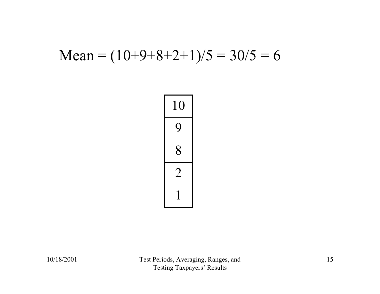#### Mean =  $(10+9+8+2+1)/5 = 30/5 = 6$

| C<br>$\mathbf 1$<br>$\overline{\phantom{a}}$<br>I |
|---------------------------------------------------|
| $\overline{\mathcal{L}}$                          |
| 8                                                 |
|                                                   |
| Ï                                                 |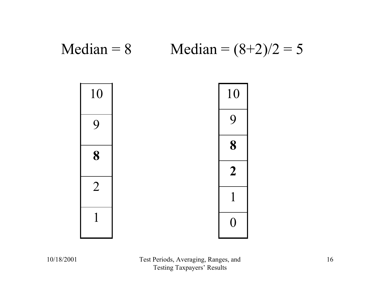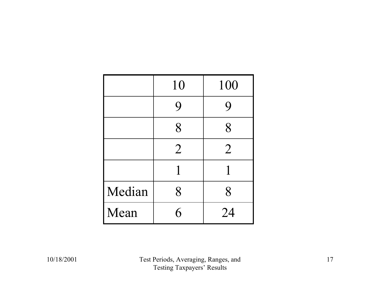|        | 10             | 100            |
|--------|----------------|----------------|
|        | 9              | 9              |
|        | 8              | 8              |
|        | $\overline{2}$ | $\overline{2}$ |
|        |                |                |
| Median | 8              | 8              |
| Mean   | 6              | 24             |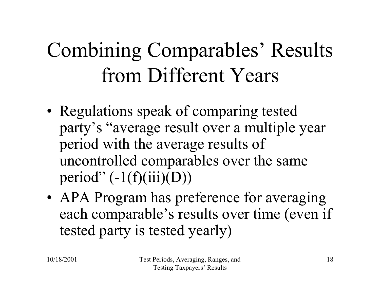# Combining Comparables' Results from Different Years

- •• Regulations speak of comparing tested party's "average result over a multiple year period with the average results of uncontrolled comparables over the same period"  $(-1(f)(iii)(D))$
- •• APA Program has preference for averaging each comparable's results over time (even if tested party is tested yearly)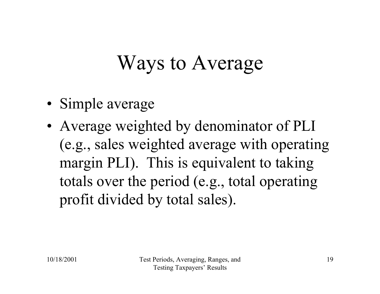#### Ways to Average

- •• Simple average
- • Average weighted by denominator of PLI (e.g., sales weighted average with operating margin PLI). This is equivalent to taking totals over the period (e.g., total operating profit divided by total sales).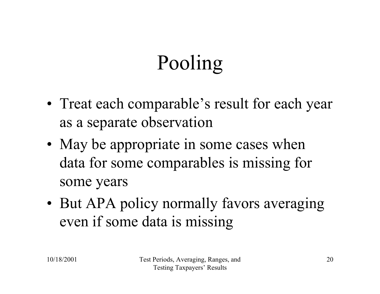# Pooling

- •• Treat each comparable's result for each year as a separate observation
- •• May be appropriate in some cases when data for some comparables is missing for some years
- But APA policy normally favors averaging even if some data is missing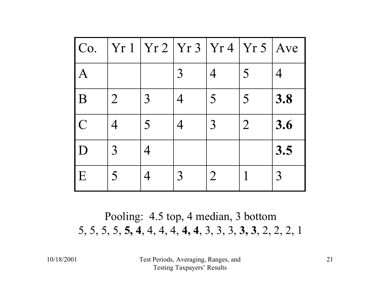| Co.           | Yr 1           | Yr 2   Yr 3    |   | Yr4            | Yr 5           | Ave |
|---------------|----------------|----------------|---|----------------|----------------|-----|
| A             |                |                | 3 | $\varDelta$    | 5              | 4   |
| B             | $\overline{2}$ | 3              |   | 5              | 5              | 3.8 |
| $\mathcal{C}$ |                | $\overline{5}$ |   | 3              | $\overline{2}$ | 3.6 |
| D             | 3              |                |   |                |                | 3.5 |
| E             | 5              |                | 3 | $\overline{2}$ |                | 3   |

Pooling: 4.5 top, 4 median, 3 bottom 5, 5, 5, 5, **5, 4**, 4, 4, 4, **4, 4**, 3, 3, 3, **3, 3**, 2, 2, 2, 1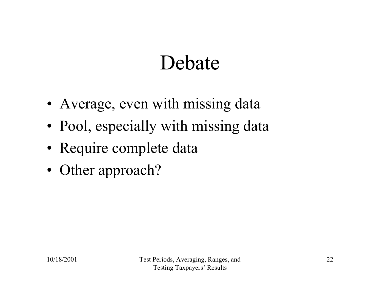#### Debate

- •Average, even with missing data
- •• Pool, especially with missing data
- •Require complete data
- •• Other approach?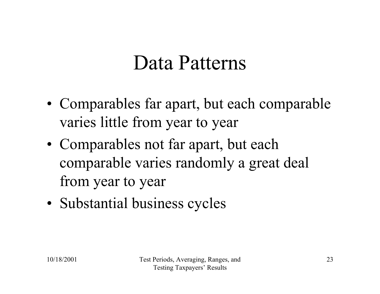#### Data Patterns

- Comparables far apart, but each comparable varies little from year to year
- Comparables not far apart, but each comparable varies randomly a great deal from year to year
- •• Substantial business cycles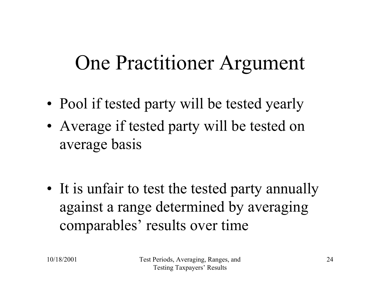#### One Practitioner Argument

- •• Pool if tested party will be tested yearly
- • Average if tested party will be tested on average basis

•• It is unfair to test the tested party annually against a range determined by averaging comparables' results over time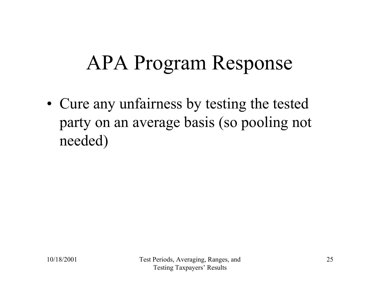#### APA Program Response

• Cure any unfairness by testing the tested party on an average basis (so pooling not needed)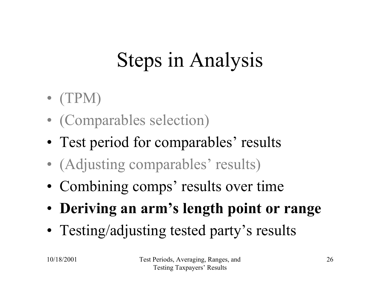# Steps in Analysis

- $\bullet$  (TPM)
- $\bullet$ (Comparables selection)
- Test period for comparables' results
- $\bullet$ (Adjusting comparables' results)
- Combining comps' results over time
- **Deriving an arm's length point or range**
- Testing/adjusting tested party's results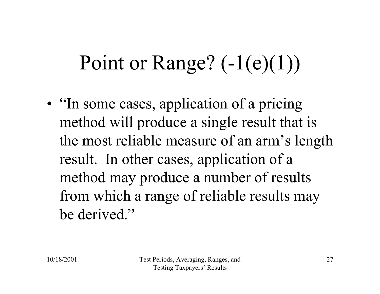# Point or Range?  $(-1(e)(1))$

•• "In some cases, application of a pricing method will produce a single result that is the most reliable measure of an arm's length result. In other cases, application of a method may produce a number of results from which a range of reliable results may be derived."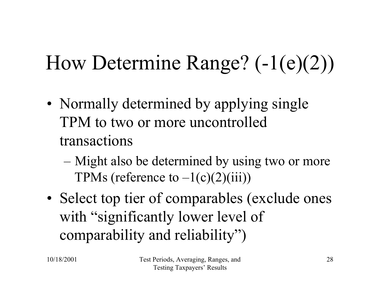# How Determine Range? (-1(e)(2))

- •• Normally determined by applying single TPM to two or more uncontrolled transactions
	- Might also be determined by using two or more TPMs (reference to  $-1(c)(2)(iii)$ )
- •• Select top tier of comparables (exclude ones with "significantly lower level of comparability and reliability")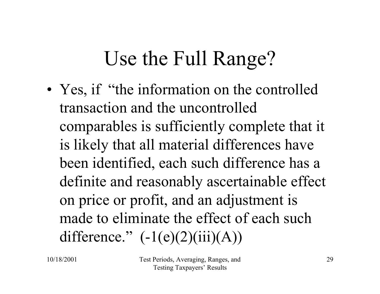#### Use the Full Range?

•• Yes, if "the information on the controlled transaction and the uncontrolled comparables is sufficiently complete that it is likely that all material differences have been identified, each such difference has a definite and reasonably ascertainable effect on price or profit, and an adjustment is made to eliminate the effect of each such difference."  $(-1(e)(2)(iii)(A))$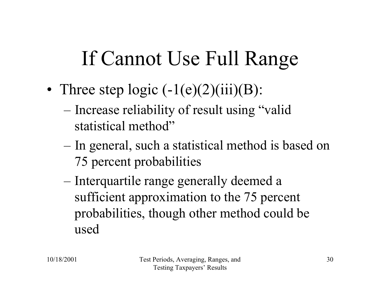#### If Cannot Use Full Range

- •• Three step logic  $(-1(e)(2)(iii)(B))$ :
	- Increase reliability of result using "valid statistical method"
	- In general, such a statistical method is based on 75 percent probabilities
	- Interquartile range generally deemed a sufficient approximation to the 75 percent probabilities, though other method could be used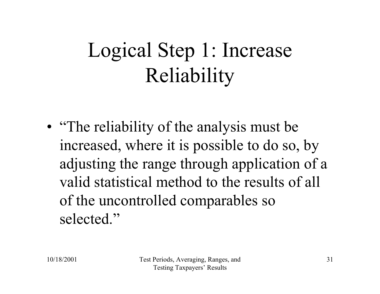# Logical Step 1: Increase Reliability

• "The reliability of the analysis must be increased, where it is possible to do so, by adjusting the range through application of a valid statistical method to the results of all of the uncontrolled comparables so selected."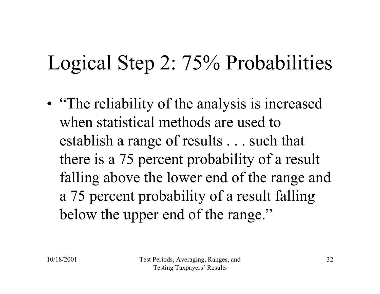#### Logical Step 2: 75% Probabilities

• "The reliability of the analysis is increased when statistical methods are used to establish a range of results . . . such that there is a 75 percent probability of a result falling above the lower end of the range and a 75 percent probability of a result falling below the upper end of the range."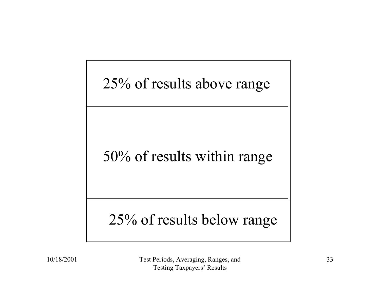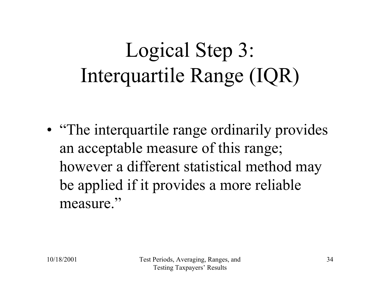# Logical Step 3: Interquartile Range (IQR)

• "The interquartile range ordinarily provides an acceptable measure of this range; however a different statistical method may be applied if it provides a more reliable measure."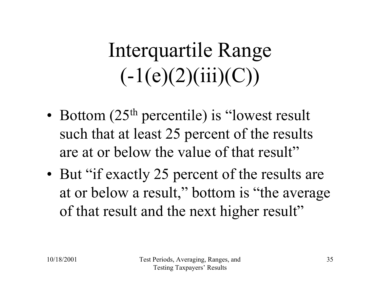# Interquartile Range  $(-1(e)(2)(iii)(C))$

- •• Bottom  $(25<sup>th</sup>$  percentile) is "lowest result such that at least 25 percent of the results are at or below the value of that result"
- But "if exactly 25 percent of the results are at or below a result," bottom is "the average of that result and the next higher result"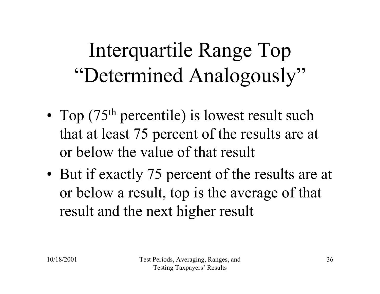# Interquartile Range Top "Determined Analogously"

- •• Top  $(75<sup>th</sup>$  percentile) is lowest result such that at least 75 percent of the results are at or below the value of that result
- But if exactly 75 percent of the results are at or below a result, top is the average of that result and the next higher result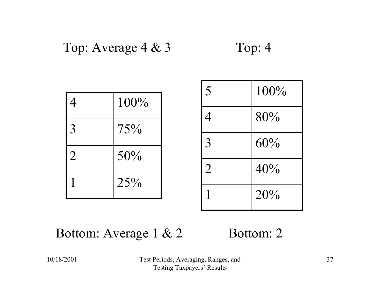#### Top: Average 4 & 3 Top: 4

| 4              | 100% |
|----------------|------|
| 3              | 75%  |
| $\overline{2}$ | 50%  |
|                | 25%  |

| 5              | $100\%$ |
|----------------|---------|
| 4              | 80%     |
| 3              | 60%     |
| $\overline{2}$ | 40%     |
|                | 20%     |

#### Bottom: Average 1 & 2

#### Bottom: 2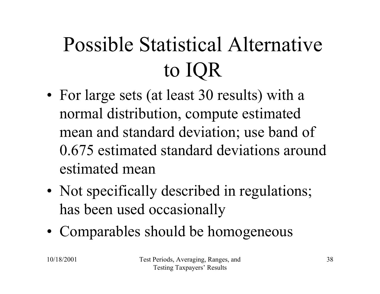# Possible Statistical Alternative to IQR

- •• For large sets (at least 30 results) with a normal distribution, compute estimated mean and standard deviation; use band of 0.675 estimated standard deviations around estimated mean
- •• Not specifically described in regulations; has been used occasionally
- Comparables should be homogeneous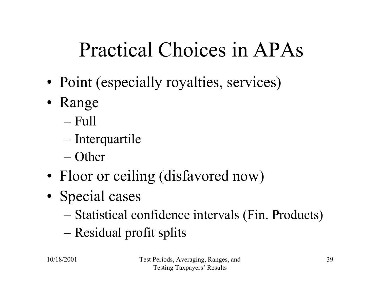#### Practical Choices in APAs

- •• Point (especially royalties, services)
- • Range
	- Full
	- Interquartile
	- Other
- •• Floor or ceiling (disfavored now)
- •• Special cases
	- Statistical confidence intervals (Fin. Products)
	- Residual profit splits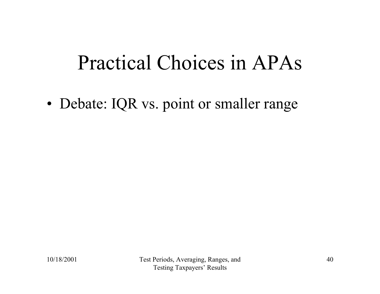#### Practical Choices in APAs

•• Debate: IQR vs. point or smaller range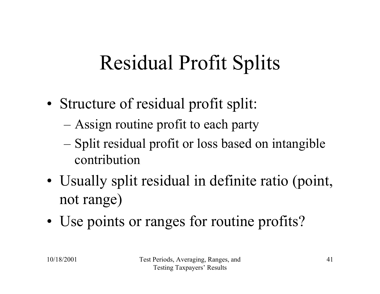#### Residual Profit Splits

- • Structure of residual profit split:
	- Assign routine profit to each party
	- Split residual profit or loss based on intangible contribution
- •• Usually split residual in definite ratio (point, not range)
- •• Use points or ranges for routine profits?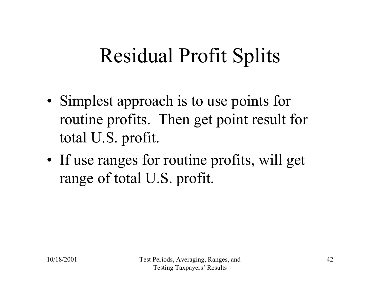#### Residual Profit Splits

- •• Simplest approach is to use points for routine profits. Then get point result for total U.S. profit.
- If use ranges for routine profits, will get range of total U.S. profit.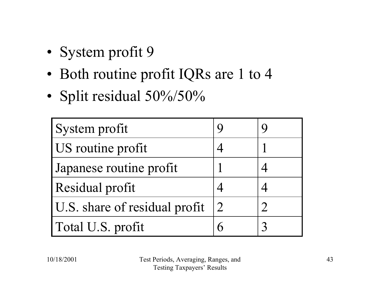- •• System profit 9
- Both routine profit IQRs are 1 to 4
- •• Split residual 50%/50%

| System profit                 |                |  |
|-------------------------------|----------------|--|
| US routine profit             |                |  |
| Japanese routine profit       |                |  |
| Residual profit               |                |  |
| U.S. share of residual profit | $\overline{2}$ |  |
| Total U.S. profit             |                |  |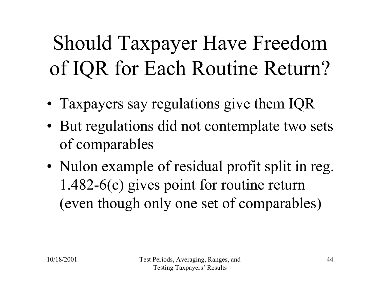Should Taxpayer Have Freedom of IQR for Each Routine Return?

- Taxpayers say regulations give them IQR
- But regulations did not contemplate two sets of comparables
- •• Nulon example of residual profit split in reg. 1.482-6(c) gives point for routine return (even though only one set of comparables)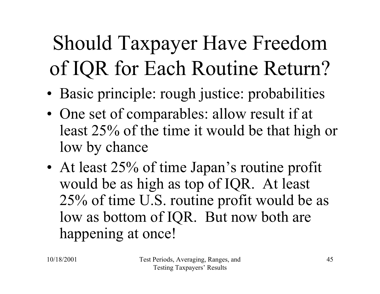Should Taxpayer Have Freedom of IQR for Each Routine Return?

- •Basic principle: rough justice: probabilities
- •• One set of comparables: allow result if at least 25% of the time it would be that high or low by chance
- •• At least 25% of time Japan's routine profit would be as high as top of IQR. At least 25% of time U.S. routine profit would be as low as bottom of IQR. But now both are happening at once!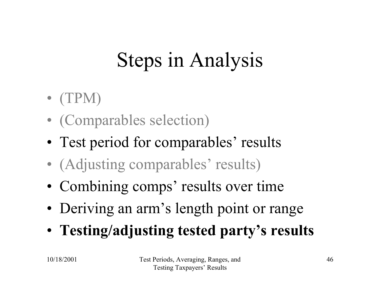# Steps in Analysis

- $\bullet$  (TPM)
- $\bullet$ (Comparables selection)
- Test period for comparables' results
- $\bullet$ (Adjusting comparables' results)
- Combining comps' results over time
- •Deriving an arm's length point or range
- **Testing/adjusting tested party's results**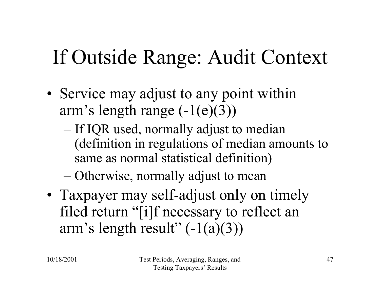#### If Outside Range: Audit Context

- •• Service may adjust to any point within arm's length range  $(-1(e)(3))$ 
	- If IQR used, normally adjust to median (definition in regulations of median amounts to same as normal statistical definition)

– Otherwise, normally adjust to mean

• Taxpayer may self-adjust only on timely filed return "[i]f necessary to reflect an arm's length result"  $(-1(a)(3))$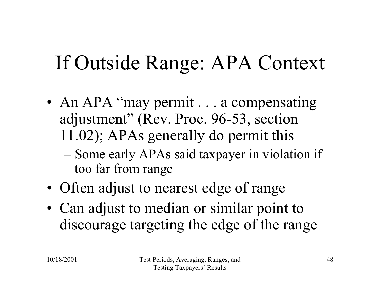#### If Outside Range: APA Context

- •• An APA "may permit . . . a compensating adjustment" (Rev. Proc. 96-53, section 11.02); APAs generally do permit this
	- Some early APAs said taxpayer in violation if too far from range
- •• Often adjust to nearest edge of range
- • Can adjust to median or similar point to discourage targeting the edge of the range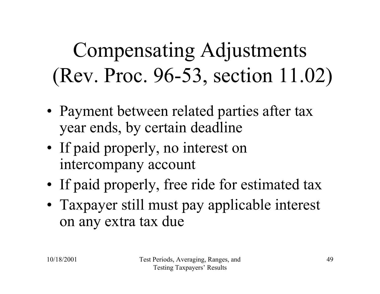Compensating Adjustments (Rev. Proc. 96-53, section 11.02)

- • Payment between related parties after tax year ends, by certain deadline
- If paid properly, no interest on intercompany account
- If paid properly, free ride for estimated tax
- Taxpayer still must pay applicable interest on any extra tax due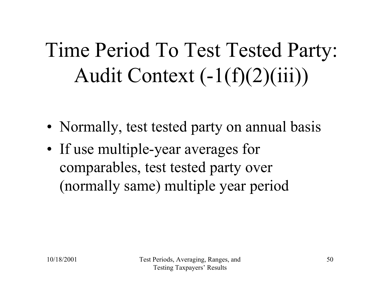Time Period To Test Tested Party: Audit Context  $(-1(f)(2)(iii))$ 

- •• Normally, test tested party on annual basis
- If use multiple-year averages for comparables, test tested party over (normally same) multiple year period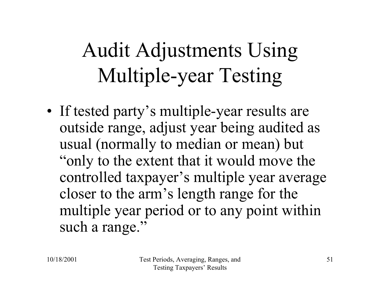# Audit Adjustments Using Multiple-year Testing

• If tested party's multiple-year results are outside range, adjust year being audited as usual (normally to median or mean) but "only to the extent that it would move the controlled taxpayer's multiple year average closer to the arm's length range for the multiple year period or to any point within such a range."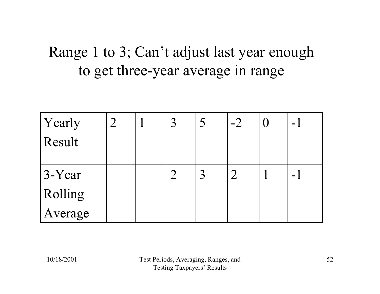#### Range 1 to 3; Can't adjust last year enough to get three-year average in range

| Yearly   |  |             | $-2$ | $\sim$         |
|----------|--|-------------|------|----------------|
| Result   |  |             |      |                |
| $3-Year$ |  | $\mathbf 2$ |      | $\blacksquare$ |
| Rolling  |  |             |      |                |
| Average  |  |             |      |                |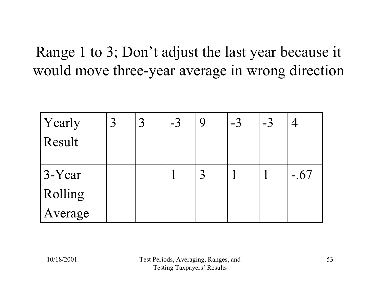Range 1 to 3; Don't adjust the last year because it would move three-year average in wrong direction

| Yearly<br>Result    |  | $-3$ | 9 | $-3$ | $-3$ |        |
|---------------------|--|------|---|------|------|--------|
| $3-Year$<br>Rolling |  |      | 3 |      |      | $-.67$ |
| Average             |  |      |   |      |      |        |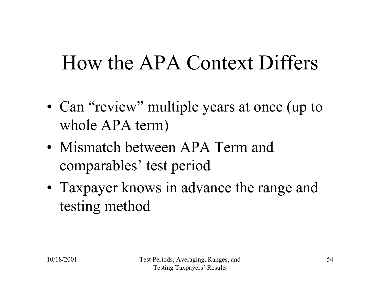#### How the APA Context Differs

- •• Can "review" multiple years at once (up to whole APA term)
- Mismatch between APA Term and comparables' test period
- Taxpayer knows in advance the range and testing method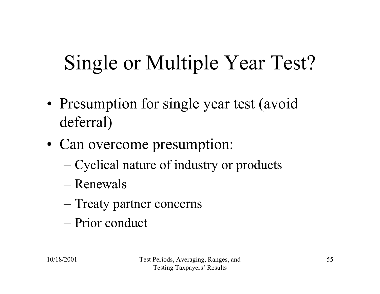# Single or Multiple Year Test?

- •• Presumption for single year test (avoid deferral)
- •• Can overcome presumption:
	- Cyclical nature of industry or products
	- –Renewals
	- Treaty partner concerns
	- –Prior conduct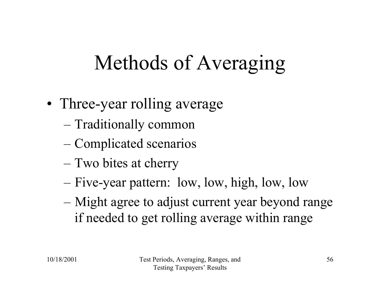#### Methods of Averaging

- •• Three-year rolling average
	- Traditionally common
	- Complicated scenarios
	- Two bites at cherry
	- Five-year pattern: low, low, high, low, low
	- Might agree to adjust current year beyond range if needed to get rolling average within range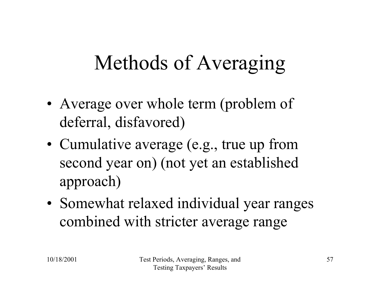#### Methods of Averaging

- •• Average over whole term (problem of deferral, disfavored)
- Cumulative average (e.g., true up from second year on) (not yet an established approach)
- • Somewhat relaxed individual year ranges combined with stricter average range